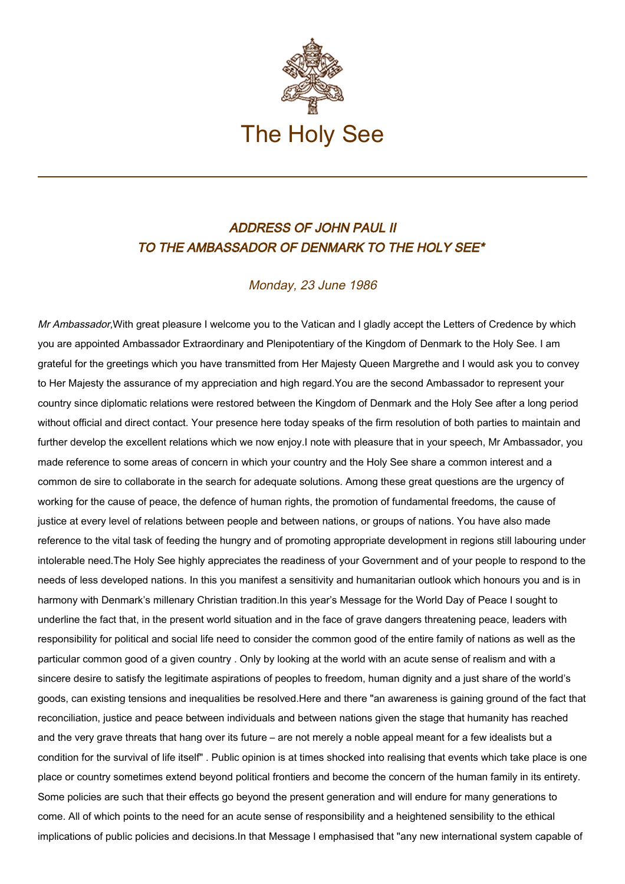

## ADDRESS OF JOHN PAUL II TO THE AMBASSADOR OF DENMARK TO THE HOLY SEE\*

## Monday, 23 June 1986

Mr Ambassador, With great pleasure I welcome you to the Vatican and I gladly accept the Letters of Credence by which you are appointed Ambassador Extraordinary and Plenipotentiary of the Kingdom of Denmark to the Holy See. I am grateful for the greetings which you have transmitted from Her Majesty Queen Margrethe and I would ask you to convey to Her Majesty the assurance of my appreciation and high regard.You are the second Ambassador to represent your country since diplomatic relations were restored between the Kingdom of Denmark and the Holy See after a long period without official and direct contact. Your presence here today speaks of the firm resolution of both parties to maintain and further develop the excellent relations which we now enjoy.I note with pleasure that in your speech, Mr Ambassador, you made reference to some areas of concern in which your country and the Holy See share a common interest and a common de sire to collaborate in the search for adequate solutions. Among these great questions are the urgency of working for the cause of peace, the defence of human rights, the promotion of fundamental freedoms, the cause of justice at every level of relations between people and between nations, or groups of nations. You have also made reference to the vital task of feeding the hungry and of promoting appropriate development in regions still labouring under intolerable need.The Holy See highly appreciates the readiness of your Government and of your people to respond to the needs of less developed nations. In this you manifest a sensitivity and humanitarian outlook which honours you and is in harmony with Denmark's millenary Christian tradition.In this year's Message for the World Day of Peace I sought to underline the fact that, in the present world situation and in the face of grave dangers threatening peace, leaders with responsibility for political and social life need to consider the common good of the entire family of nations as well as the particular common good of a given country . Only by looking at the world with an acute sense of realism and with a sincere desire to satisfy the legitimate aspirations of peoples to freedom, human dignity and a just share of the world's goods, can existing tensions and inequalities be resolved.Here and there "an awareness is gaining ground of the fact that reconciliation, justice and peace between individuals and between nations given the stage that humanity has reached and the very grave threats that hang over its future – are not merely a noble appeal meant for a few idealists but a condition for the survival of life itself" . Public opinion is at times shocked into realising that events which take place is one place or country sometimes extend beyond political frontiers and become the concern of the human family in its entirety. Some policies are such that their effects go beyond the present generation and will endure for many generations to come. All of which points to the need for an acute sense of responsibility and a heightened sensibility to the ethical implications of public policies and decisions. In that Message I emphasised that "any new international system capable of